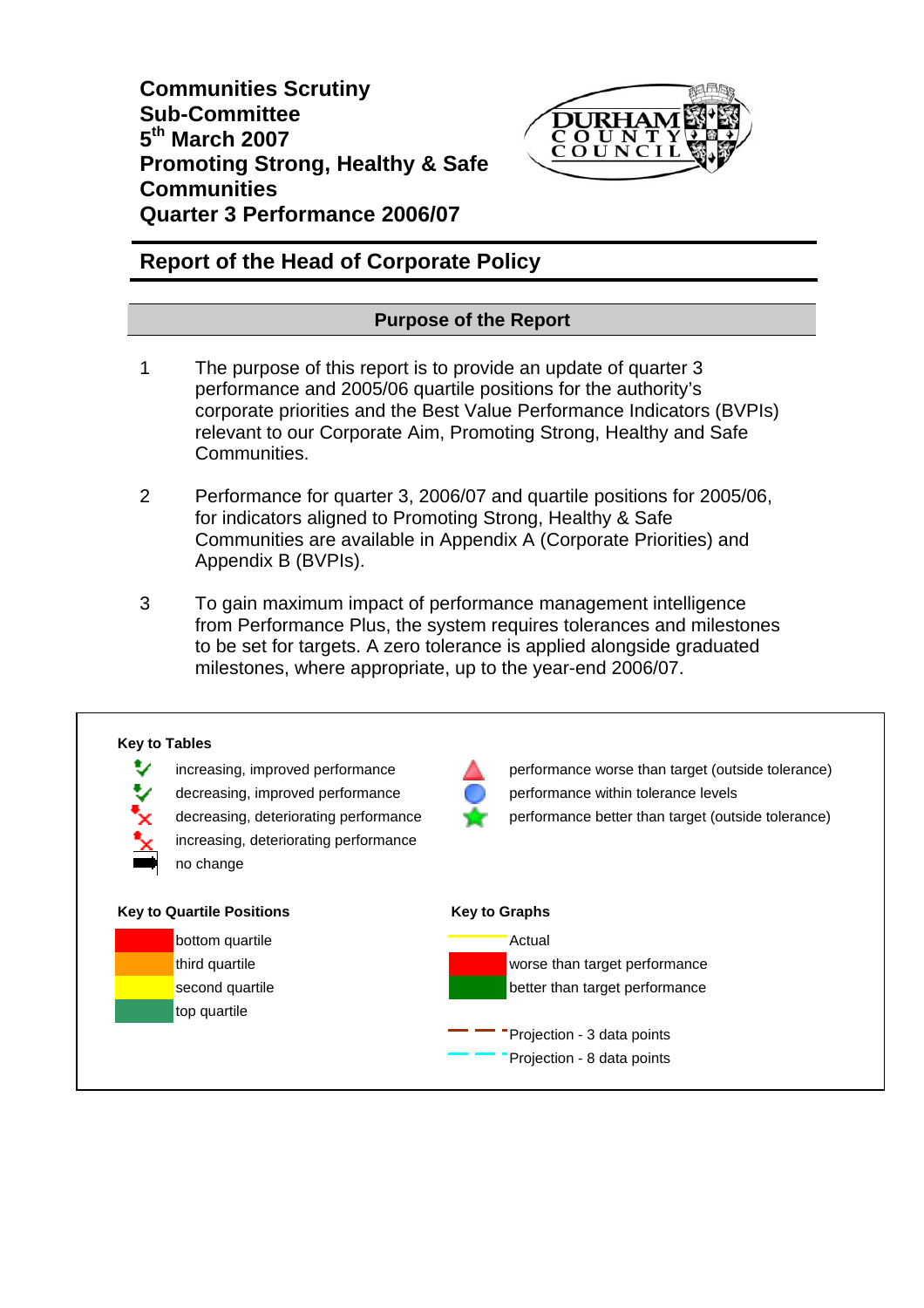**Communities Scrutiny Sub-Committee 5th March 2007 Promoting Strong, Healthy & Safe Communities Quarter 3 Performance 2006/07** 



# **Report of the Head of Corporate Policy**

# **Purpose of the Report**

- 1 The purpose of this report is to provide an update of quarter 3 performance and 2005/06 quartile positions for the authority's corporate priorities and the Best Value Performance Indicators (BVPIs) relevant to our Corporate Aim, Promoting Strong, Healthy and Safe Communities.
- 2 Performance for quarter 3, 2006/07 and quartile positions for 2005/06, for indicators aligned to Promoting Strong, Healthy & Safe Communities are available in Appendix A (Corporate Priorities) and Appendix B (BVPIs).
- 3 To gain maximum impact of performance management intelligence from Performance Plus, the system requires tolerances and milestones to be set for targets. A zero tolerance is applied alongside graduated milestones, where appropriate, up to the year-end 2006/07.

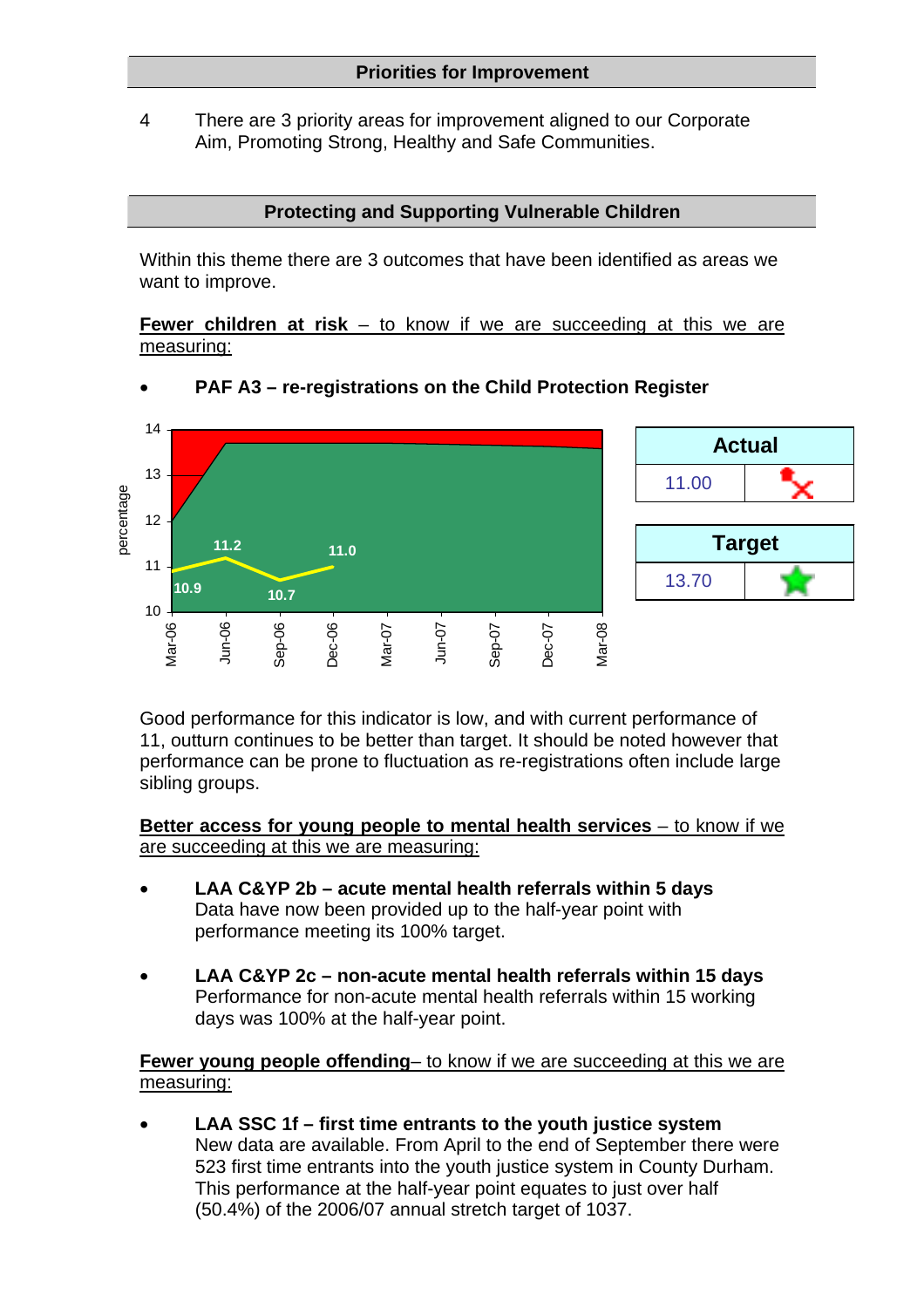4 There are 3 priority areas for improvement aligned to our Corporate Aim, Promoting Strong, Healthy and Safe Communities.

### **Protecting and Supporting Vulnerable Children**

Within this theme there are 3 outcomes that have been identified as areas we want to improve.

**Fewer children at risk** – to know if we are succeeding at this we are measuring:



• **PAF A3 – re-registrations on the Child Protection Register** 



**Actual**

Good performance for this indicator is low, and with current performance of 11, outturn continues to be better than target. It should be noted however that performance can be prone to fluctuation as re-registrations often include large sibling groups.

**Better access for young people to mental health services** – to know if we are succeeding at this we are measuring:

- **LAA C&YP 2b acute mental health referrals within 5 days**  Data have now been provided up to the half-year point with performance meeting its 100% target.
- **LAA C&YP 2c non-acute mental health referrals within 15 days** Performance for non-acute mental health referrals within 15 working days was 100% at the half-year point.

**Fewer young people offending**– to know if we are succeeding at this we are measuring:

• **LAA SSC 1f – first time entrants to the youth justice system**  New data are available. From April to the end of September there were 523 first time entrants into the youth justice system in County Durham. This performance at the half-year point equates to just over half (50.4%) of the 2006/07 annual stretch target of 1037.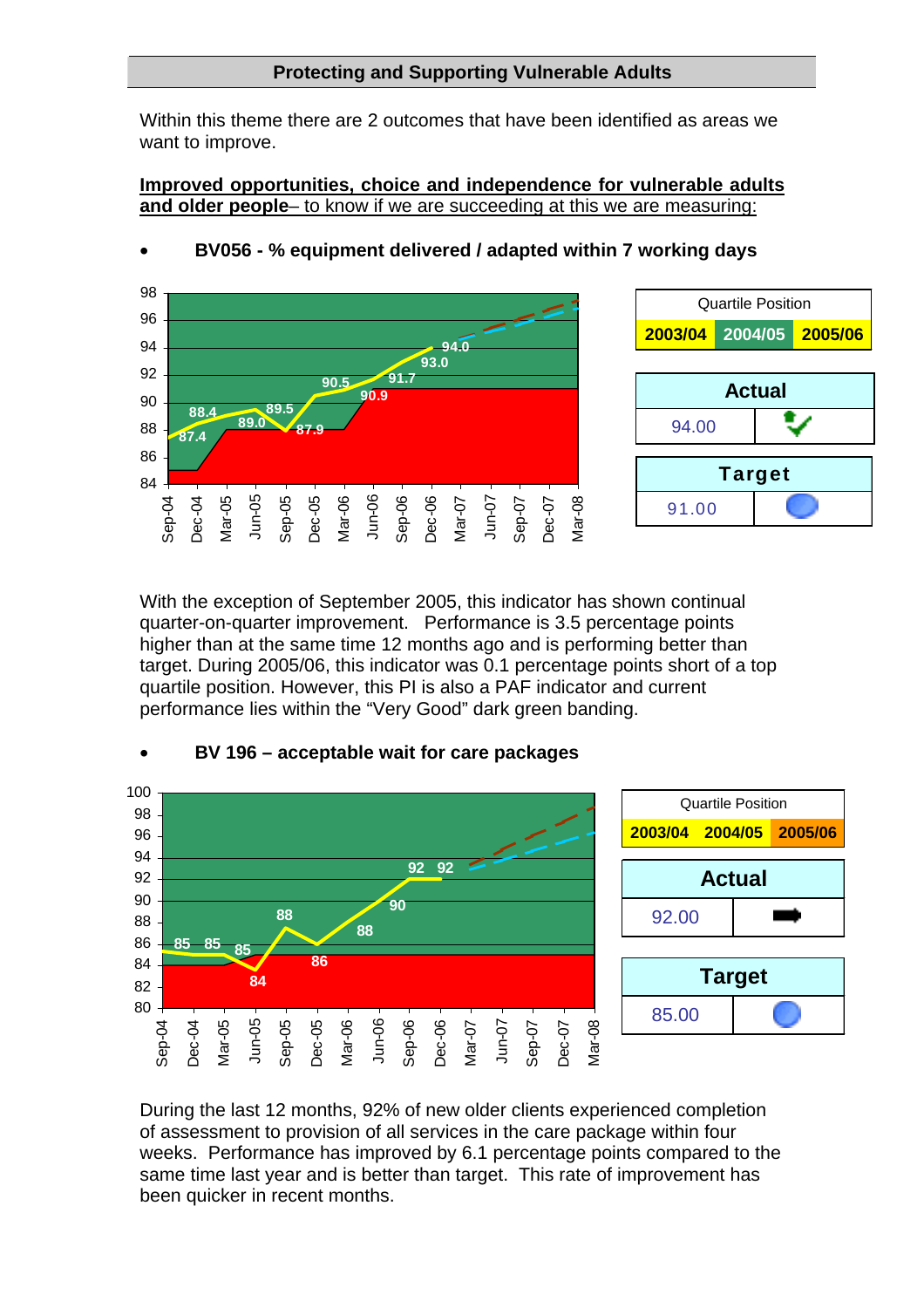### **Protecting and Supporting Vulnerable Adults**

Within this theme there are 2 outcomes that have been identified as areas we want to improve.

**Improved opportunities, choice and independence for vulnerable adults and older people**– to know if we are succeeding at this we are measuring:



With the exception of September 2005, this indicator has shown continual quarter-on-quarter improvement. Performance is 3.5 percentage points higher than at the same time 12 months ago and is performing better than target. During 2005/06, this indicator was 0.1 percentage points short of a top quartile position. However, this PI is also a PAF indicator and current performance lies within the "Very Good" dark green banding.



#### • **BV 196 – acceptable wait for care packages**

During the last 12 months, 92% of new older clients experienced completion of assessment to provision of all services in the care package within four weeks. Performance has improved by 6.1 percentage points compared to the same time last year and is better than target. This rate of improvement has been quicker in recent months.

• **BV056 - % equipment delivered / adapted within 7 working days**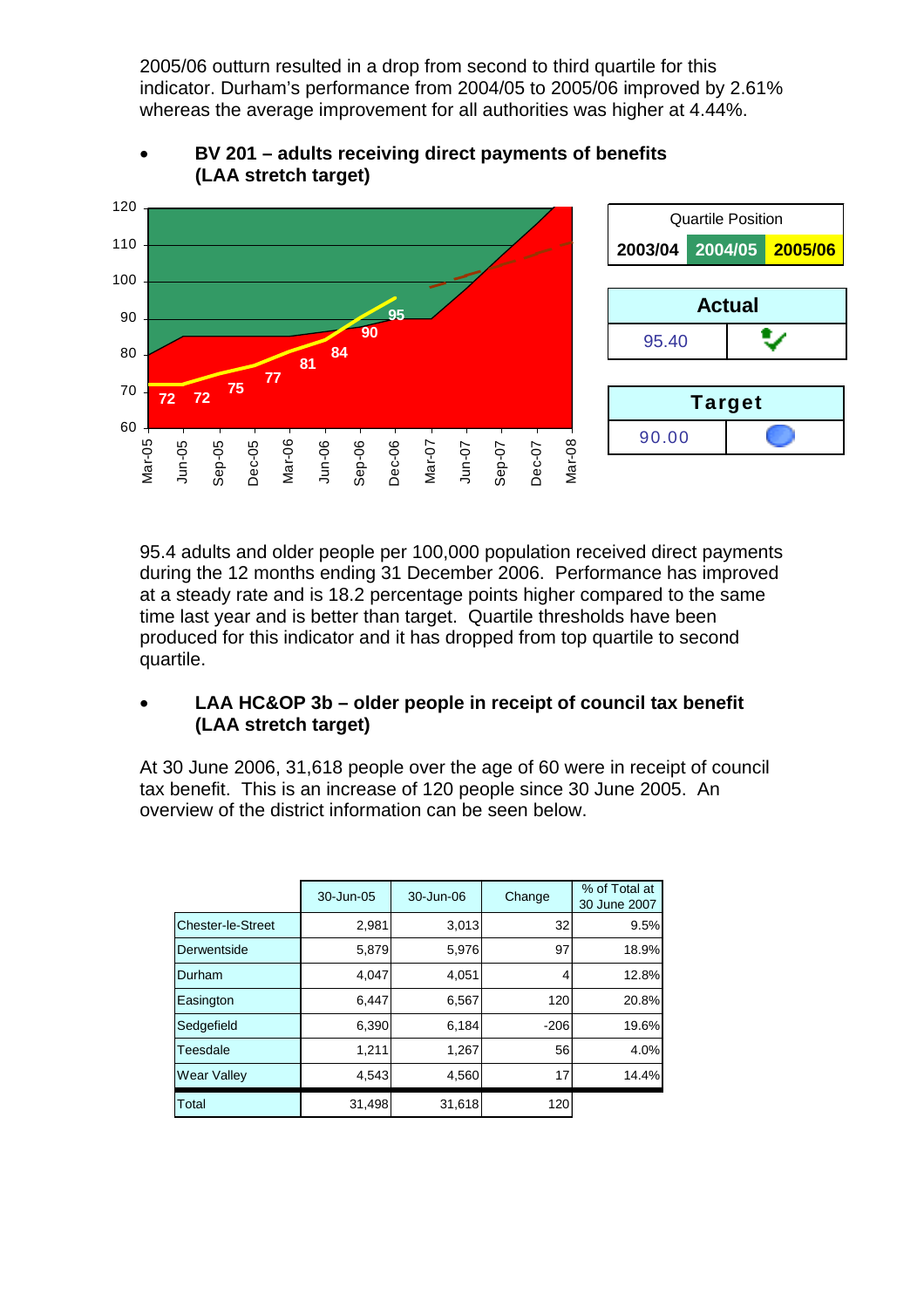2005/06 outturn resulted in a drop from second to third quartile for this indicator. Durham's performance from 2004/05 to 2005/06 improved by 2.61% whereas the average improvement for all authorities was higher at 4.44%.



# • **BV 201 – adults receiving direct payments of benefits (LAA stretch target)**



95.4 adults and older people per 100,000 population received direct payments during the 12 months ending 31 December 2006. Performance has improved at a steady rate and is 18.2 percentage points higher compared to the same time last year and is better than target. Quartile thresholds have been produced for this indicator and it has dropped from top quartile to second quartile.

# • **LAA HC&OP 3b – older people in receipt of council tax benefit (LAA stretch target)**

At 30 June 2006, 31,618 people over the age of 60 were in receipt of council tax benefit. This is an increase of 120 people since 30 June 2005. An overview of the district information can be seen below.

|                          | 30-Jun-05 | 30-Jun-06 | Change | % of Total at<br>30 June 2007 |  |  |
|--------------------------|-----------|-----------|--------|-------------------------------|--|--|
| <b>Chester-le-Street</b> | 2,981     | 3,013     | 32     | 9.5%                          |  |  |
| Derwentside              | 5,879     | 5,976     | 97     | 18.9%                         |  |  |
| Durham                   | 4,047     | 4,051     | 4      | 12.8%                         |  |  |
| Easington                | 6,447     | 6,567     | 120    | 20.8%                         |  |  |
| Sedgefield               | 6,390     | 6,184     | $-206$ | 19.6%                         |  |  |
| Teesdale                 | 1,211     | 1,267     | 56     | 4.0%                          |  |  |
| <b>Wear Valley</b>       | 4,543     | 4,560     | 17     | 14.4%                         |  |  |
| Total                    | 31,498    | 31,618    | 120    |                               |  |  |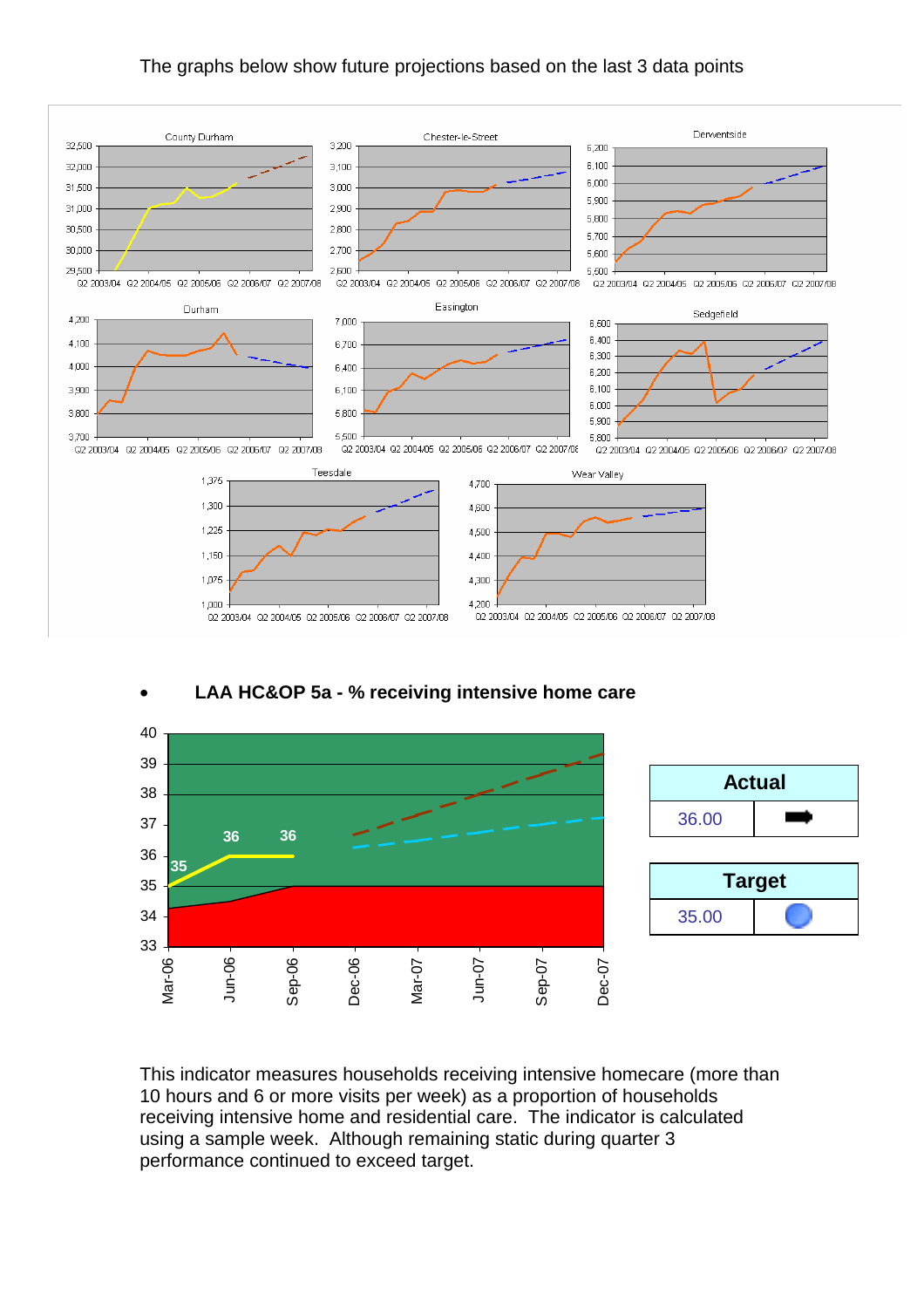#### The graphs below show future projections based on the last 3 data points



#### • **LAA HC&OP 5a - % receiving intensive home care**



This indicator measures households receiving intensive homecare (more than 10 hours and 6 or more visits per week) as a proportion of households receiving intensive home and residential care. The indicator is calculated using a sample week. Although remaining static during quarter 3 performance continued to exceed target.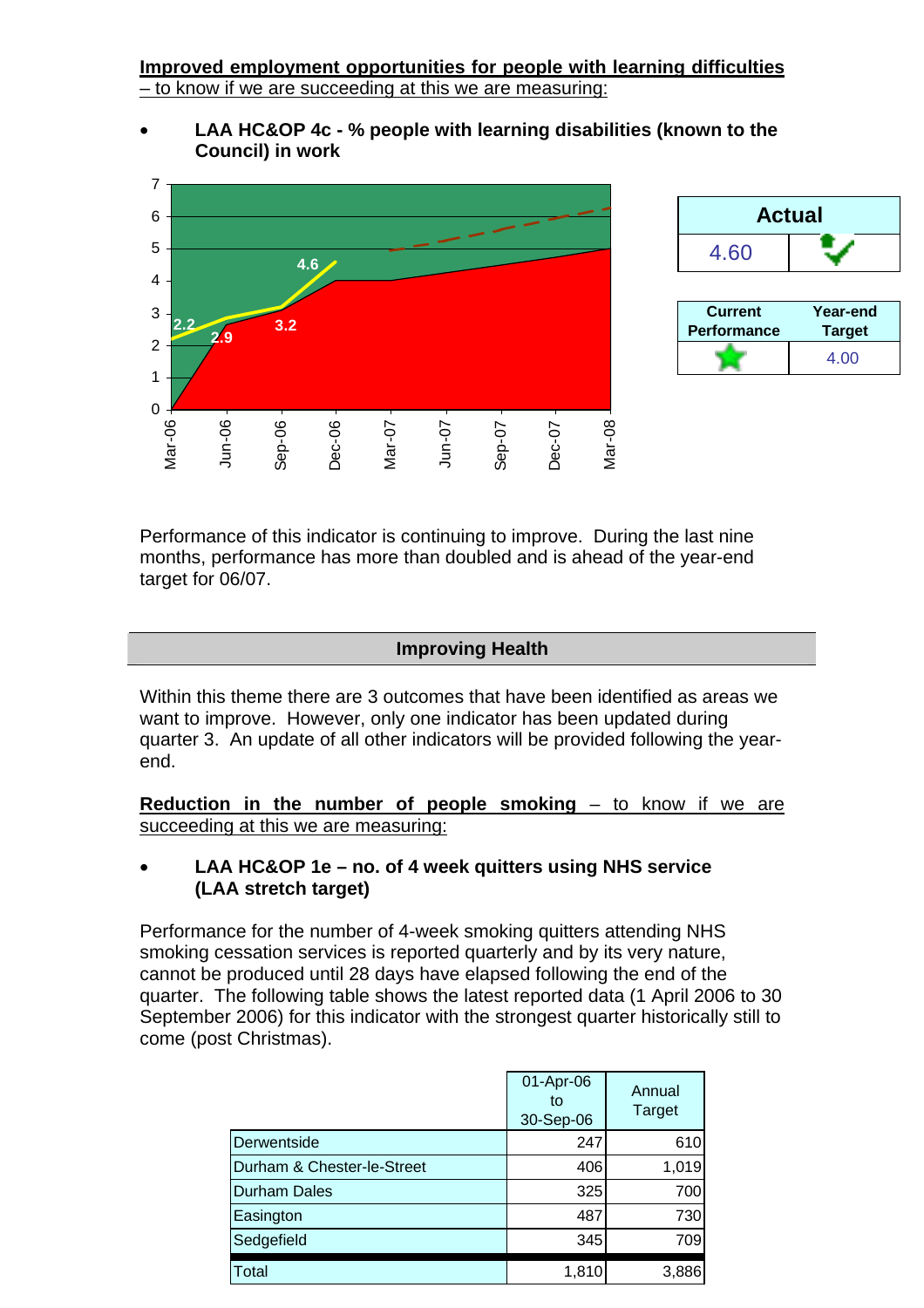**Improved employment opportunities for people with learning difficulties**  – to know if we are succeeding at this we are measuring:

• **LAA HC&OP 4c - % people with learning disabilities (known to the Council) in work** 





Performance of this indicator is continuing to improve. During the last nine months, performance has more than doubled and is ahead of the year-end target for 06/07.

#### **Improving Health**

Within this theme there are 3 outcomes that have been identified as areas we want to improve. However, only one indicator has been updated during quarter 3. An update of all other indicators will be provided following the yearend.

**Reduction in the number of people smoking – to know if we are** succeeding at this we are measuring:

# • **LAA HC&OP 1e – no. of 4 week quitters using NHS service (LAA stretch target)**

Performance for the number of 4-week smoking quitters attending NHS smoking cessation services is reported quarterly and by its very nature, cannot be produced until 28 days have elapsed following the end of the quarter. The following table shows the latest reported data (1 April 2006 to 30 September 2006) for this indicator with the strongest quarter historically still to come (post Christmas).

|                            | 01-Apr-06<br>to<br>30-Sep-06 | Annual<br><b>Target</b> |
|----------------------------|------------------------------|-------------------------|
| Derwentside                | 247                          | 610                     |
| Durham & Chester-le-Street | 406                          | 1,019                   |
| <b>Durham Dales</b>        | 325                          | 700                     |
| Easington                  | 487                          | 730                     |
| Sedgefield                 | 345                          | 709                     |
| <b>Total</b>               | 1,810                        | 3,886                   |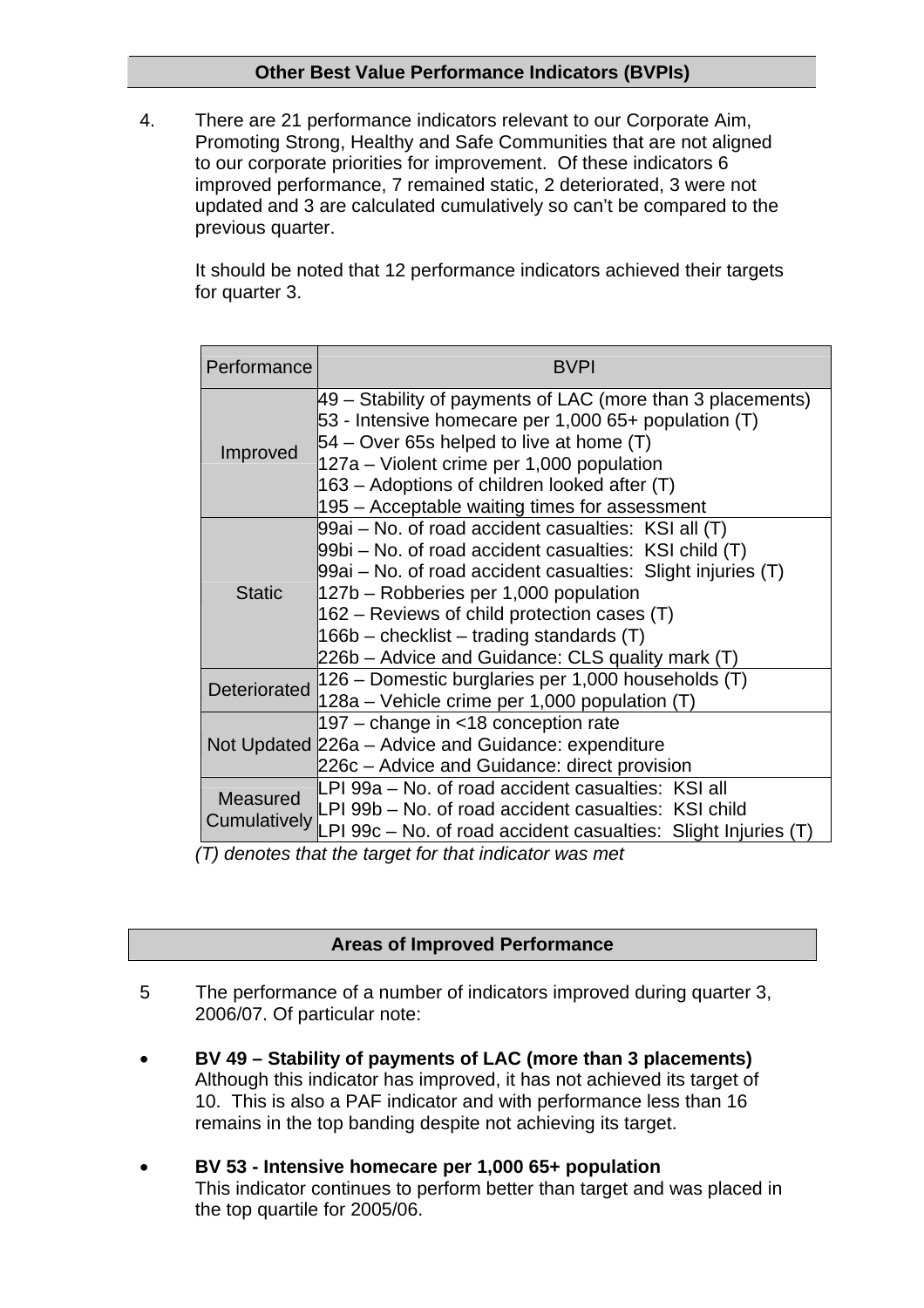# **Other Best Value Performance Indicators (BVPIs)**

4. There are 21 performance indicators relevant to our Corporate Aim, Promoting Strong, Healthy and Safe Communities that are not aligned to our corporate priorities for improvement. Of these indicators 6 improved performance, 7 remained static, 2 deteriorated, 3 were not updated and 3 are calculated cumulatively so can't be compared to the previous quarter.

It should be noted that 12 performance indicators achieved their targets for quarter 3.

| Performance                   | <b>BVPI</b>                                                                                                                                                                                                                                                                                                                                                             |  |  |  |  |
|-------------------------------|-------------------------------------------------------------------------------------------------------------------------------------------------------------------------------------------------------------------------------------------------------------------------------------------------------------------------------------------------------------------------|--|--|--|--|
| Improved                      | 49 – Stability of payments of LAC (more than 3 placements)<br>53 - Intensive homecare per 1,000 65+ population (T)<br>$54 -$ Over 65s helped to live at home (T)<br>127a – Violent crime per 1,000 population<br>163 – Adoptions of children looked after (T)<br>195 – Acceptable waiting times for assessment                                                          |  |  |  |  |
| <b>Static</b>                 | 99ai – No. of road accident casualties: KSI all (T)<br>99bi – No. of road accident casualties: KSI child (T)<br>99ai – No. of road accident casualties: Slight injuries (T)<br>127b – Robberies per 1,000 population<br>$162$ – Reviews of child protection cases (T)<br>$166b$ – checklist – trading standards (T)<br>226b – Advice and Guidance: CLS quality mark (T) |  |  |  |  |
| Deteriorated                  | 126 – Domestic burglaries per 1,000 households (T)<br>$ 128a -$ Vehicle crime per 1,000 population (T)                                                                                                                                                                                                                                                                  |  |  |  |  |
|                               | 197 – change in <18 conception rate<br>Not Updated 226a - Advice and Guidance: expenditure<br>226c - Advice and Guidance: direct provision                                                                                                                                                                                                                              |  |  |  |  |
| Measured<br>$(T)$ algorithman | LPI 99a - No. of road accident casualties: KSI all<br>LPI 99b – No. of road accident casualties: KSI child<br>Cumulatively LPI 99c - No. of road accident casualties: Slight Injuries (T)<br>at the texted few that indicates uses me                                                                                                                                   |  |  |  |  |

*(T) denotes that the target for that indicator was met* 

# **Areas of Improved Performance**

- 5 The performance of a number of indicators improved during quarter 3, 2006/07. Of particular note:
- **BV 49 Stability of payments of LAC (more than 3 placements)**  Although this indicator has improved, it has not achieved its target of 10. This is also a PAF indicator and with performance less than 16 remains in the top banding despite not achieving its target.
- **BV 53 Intensive homecare per 1,000 65+ population**  This indicator continues to perform better than target and was placed in the top quartile for 2005/06.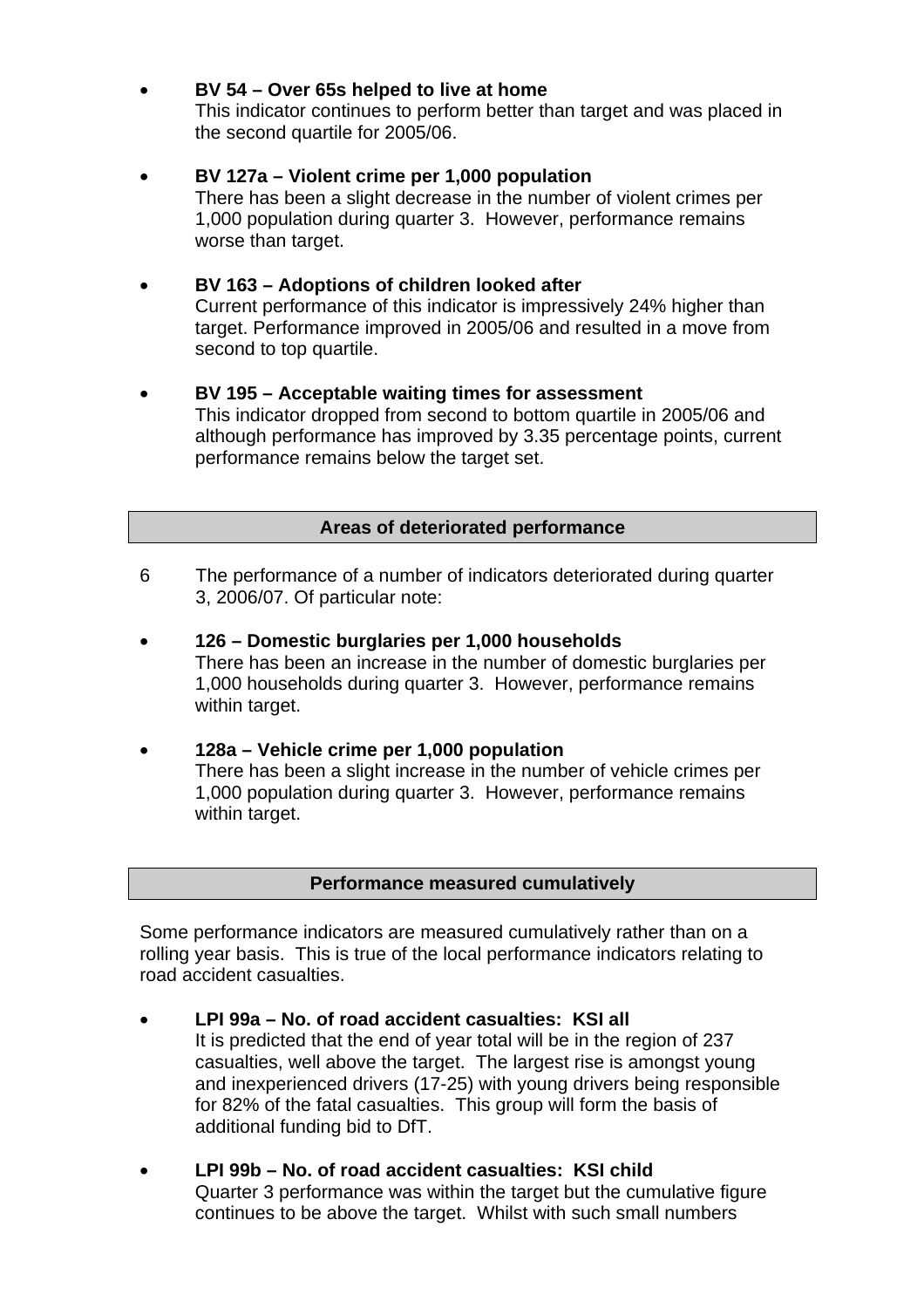### • **BV 54 – Over 65s helped to live at home**

This indicator continues to perform better than target and was placed in the second quartile for 2005/06.

#### • **BV 127a – Violent crime per 1,000 population**  There has been a slight decrease in the number of violent crimes per 1,000 population during quarter 3. However, performance remains worse than target.

# • **BV 163 – Adoptions of children looked after**

Current performance of this indicator is impressively 24% higher than target. Performance improved in 2005/06 and resulted in a move from second to top quartile.

#### • **BV 195 – Acceptable waiting times for assessment**

This indicator dropped from second to bottom quartile in 2005/06 and although performance has improved by 3.35 percentage points, current performance remains below the target set.

#### **Areas of deteriorated performance**

- 6 The performance of a number of indicators deteriorated during quarter 3, 2006/07. Of particular note:
- **126 Domestic burglaries per 1,000 households**  There has been an increase in the number of domestic burglaries per 1,000 households during quarter 3. However, performance remains within target.
- **128a Vehicle crime per 1,000 population**  There has been a slight increase in the number of vehicle crimes per 1,000 population during quarter 3. However, performance remains within target.

#### **Performance measured cumulatively**

Some performance indicators are measured cumulatively rather than on a rolling year basis. This is true of the local performance indicators relating to road accident casualties.

- **LPI 99a No. of road accident casualties: KSI all**  It is predicted that the end of year total will be in the region of 237 casualties, well above the target. The largest rise is amongst young and inexperienced drivers (17-25) with young drivers being responsible for 82% of the fatal casualties. This group will form the basis of additional funding bid to DfT.
- **LPI 99b No. of road accident casualties: KSI child**  Quarter 3 performance was within the target but the cumulative figure continues to be above the target. Whilst with such small numbers